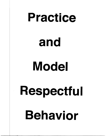# Practice and Model Respectful BEHAVIOR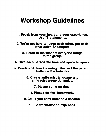# **Workshop Guidelines**

- 1. Speak from your heart and your experience. Use "I' statements.
- 2. We're not here to judge each other, put each other down or compete.
	- 3. Listen to the wisdom everyone brings to the group.
- 4. Give each person the time and space to speak.
- 5. Practice 'Active Listening.' Respect the person; challenge the behavior.
	- 6. Create anti-racist language and anti-racist group dynamics.
		- 7. Please come on time!
		- 8. Please do the 'homework.'
	- 9. Call if you can't come to a session.
		- 10. Share workshop expenses.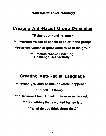*('Anti-Racist Toilet Training')* 

# **Creating Anti-Racist Group Dynamics**

\*\*\*Raise your hand to speak;

\*\*\* Prioritize voices of people of color in the group;

\*\*\*Prioritize voices of quiet white folks in the group;

\*\*\* Practice 'Active Listening.' Challenge Respectfully.

# **Creating Anti-Racist Language**

\*\* "When you said or did...or when...happened...

\*\* "I felt... I thought...

\*\* "Because I feel...I think...I have experienced...

\*\* "Something that's worked for me is...

\*\* "What do you think about that?"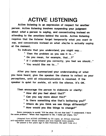# ACTIVE LISTENING

Active listening is an expression of respect for another person. Active listening involves suspending your judgment about what a person is saying, and concentrating instead on attending to the emotions behind the words. Active listening requires that the listener forget temporarily what you want to say, and concentrate instead on what she/he is actually saying at the moment.

To indicate that you understand, you might say...

- " Then the problem as you see it is..."
- Do you mean, for example, that...?"
- " If I understand you correctly, you feel we should.."
- " You would like me to..."

After you have summarized your understanding of what you have heard, give the speaker the chance to reflect on your perceptions, until all miscommunication is resolved. If the speaker is quiet for awhile, sit with the silence. It's OK.

Then encourage the person to elaborate or clarify:

- " How did you feel about that?"
- " Can you say more about this?"
- " Is there something else that's bothering you?"
- " Where do you think we see things differently?"
- " How would you like things to change?"

Some comments to avoid: "It'll be okay. It's not that bad." "I understand. I have the same problem." "When that happened to me, I really got angry, too."

(Adapted from ACTIVE LISTENING by Gil Lopez, an African American anti-oppression trainer whose wisdom and love inspired many people. Gil passed a few years ago in San Francisco. His spirit lives on.)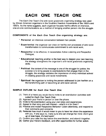# EACH ONE TEACH ONE

The Each One Teach One anti-racist grassroots organizing strategy was used by African American organizers in the Southern freedom movements of the 1950's and 1960's. As the name suggests, each organizer focuses her/his efforts on intensive. one-on-one communications as a method of bringing another person into the struggle.

### COMPONENTS of the Each One Teach One organizing strategy are:

- \* Personal: an intensive conversation between two people;
- \* Experiential: the organizer can draw on her/his own processes of anti-racist transformation to communicate commitment to anti-racist work:
- \* Respectful: to be effective, it necessitates Active Listening and Respectful Dialogue;
- $*$  Educational: teaching another is the best way to deepen your own learning; the strategy strengthens the organizer's anti-racist grassroots organizing skills:
- \* Political: the content of the message is one of the struggle for justice; the purpose is to bring people to events/actions that engage them in the struggle; the strategy validates the importance of every individual activist in creating grassroots anti-racist movements:
- \* Spiritual: the organizer is inviting the person addressed to join her/him on a life-transforming path of becoming an anti-racist activist.

### SAMPLE OUTLINE for Each One Teach One:

- (1) Think of a friend you would like to invite to an event/action (activities wellsuited for Each One Teach One).
- (2) Approach your friend in person or over the phone.
- $(3)$  Invite to the event/action using your own story and experiences.
- $(4)$  Appeal to their story and self-interest what's in it for them?
- (5) Practice and model Respective Behavior! Listen attentively, and respond to their comments and concerns.
- (6) Reiterate how much it would mean to you to have her share the experience with you. If she says no, make sure she can change her mind. Don't give up or lose hope, it's hard work!
- (7) Confirm your date the day before the event/action, and attend it together.
- (8) Gather your friend's feedback, and offer opportunities for further action.